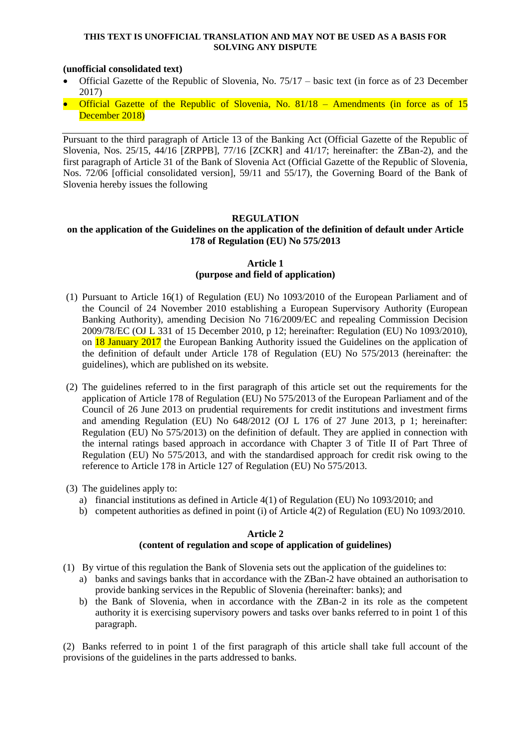#### **THIS TEXT IS UNOFFICIAL TRANSLATION AND MAY NOT BE USED AS A BASIS FOR SOLVING ANY DISPUTE**

### **(unofficial consolidated text)**

- Official Gazette of the Republic of Slovenia, No. 75/17 basic text (in force as of 23 December 2017)
- **•** Official Gazette of the Republic of Slovenia, No.  $81/18$  Amendments (in force as of 15 December 2018)

Pursuant to the third paragraph of Article 13 of the Banking Act (Official Gazette of the Republic of Slovenia, Nos. 25/15, 44/16 [ZRPPB], 77/16 [ZCKR] and 41/17; hereinafter: the ZBan-2), and the first paragraph of Article 31 of the Bank of Slovenia Act (Official Gazette of the Republic of Slovenia, Nos. 72/06 [official consolidated version], 59/11 and 55/17), the Governing Board of the Bank of Slovenia hereby issues the following

## **REGULATION**

### **on the application of the Guidelines on the application of the definition of default under Article 178 of Regulation (EU) No 575/2013**

### **Article 1 (purpose and field of application)**

- (1) Pursuant to Article 16(1) of Regulation (EU) No 1093/2010 of the European Parliament and of the Council of 24 November 2010 establishing a European Supervisory Authority (European Banking Authority), amending Decision No 716/2009/EC and repealing Commission Decision 2009/78/EC (OJ L 331 of 15 December 2010, p 12; hereinafter: Regulation (EU) No 1093/2010), on 18 January 2017 the European Banking Authority issued the Guidelines on the application of the definition of default under Article 178 of Regulation (EU) No 575/2013 (hereinafter: the guidelines), which are published on its website.
- (2) The guidelines referred to in the first paragraph of this article set out the requirements for the application of Article 178 of Regulation (EU) No 575/2013 of the European Parliament and of the Council of 26 June 2013 on prudential requirements for credit institutions and investment firms and amending Regulation (EU) No 648/2012 (OJ L 176 of 27 June 2013, p 1; hereinafter: Regulation (EU) No 575/2013) on the definition of default. They are applied in connection with the internal ratings based approach in accordance with Chapter 3 of Title II of Part Three of Regulation (EU) No 575/2013, and with the standardised approach for credit risk owing to the reference to Article 178 in Article 127 of Regulation (EU) No 575/2013.
- (3) The guidelines apply to:
	- a) financial institutions as defined in Article 4(1) of Regulation (EU) No 1093/2010; and
	- b) competent authorities as defined in point (i) of Article 4(2) of Regulation (EU) No 1093/2010.

### **Article 2**

## **(content of regulation and scope of application of guidelines)**

- (1) By virtue of this regulation the Bank of Slovenia sets out the application of the guidelines to:
	- a) banks and savings banks that in accordance with the ZBan-2 have obtained an authorisation to provide banking services in the Republic of Slovenia (hereinafter: banks); and
	- b) the Bank of Slovenia, when in accordance with the ZBan-2 in its role as the competent authority it is exercising supervisory powers and tasks over banks referred to in point 1 of this paragraph.

(2) Banks referred to in point 1 of the first paragraph of this article shall take full account of the provisions of the guidelines in the parts addressed to banks.